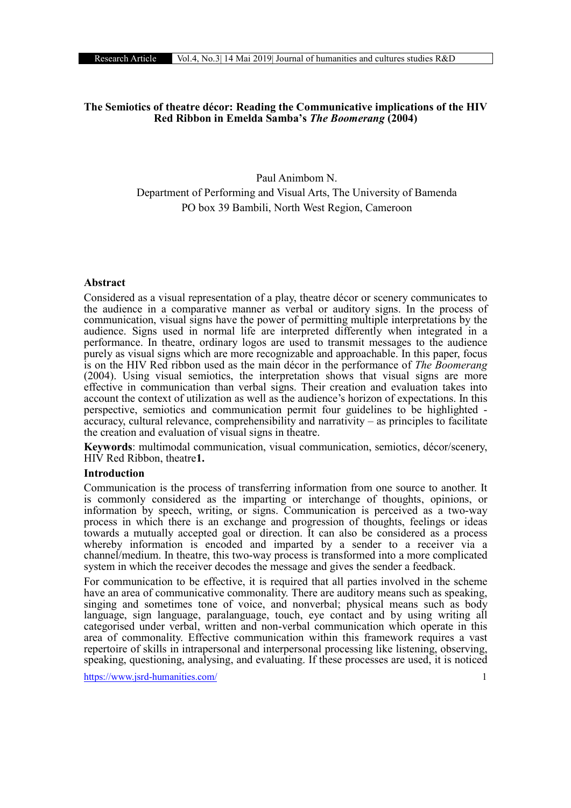# The Semiotics of theatre décor: Reading the Communicative implications of the HIV Red Ribbon in Emelda Samba's *The Boomerang* (2004)

# Paul Animbom N. Department of Performing and Visual Arts, The University of Bamenda PO box 39 Bambili, North West Region, Cameroon

# Abstract

Considered as a visual representation of a play, theatre décor or scenery communicates to the audience in a comparative manner as verbal or auditory signs. In the process of communication, visual signs have the power of permitting multiple interpretations by the audience. Signs used in normal life are interpreted differently when integrated in a performance. In theatre, ordinary logos are used to transmit messages to the audience purely as visual signs which are more recognizable and approachable. In this paper, focus is on the HIV Red ribbon used as the main décor in the performance of *The Boomerang* (2004). Using visual semiotics, the interpretation shows that visual signs are more effective in communication than verbal signs. Their creation and evaluation takes into account the context of utilization as well as the audience's horizon of expectations. In this perspective, semiotics and communication permit four guidelines to be highlighted - $\alpha$  accuracy, cultural relevance, comprehensibility and narrativity – as principles to facilitate the creation and evaluation of visual signs in theatre.

Keywords: multimodal communication, visual communication, semiotics, décor/scenery, HIV Red Ribbon, theatre1.

#### Introduction

Communication is the process of transferring information from one source to another. It is commonly considered as the imparting or interchange of thoughts, opinions, or information by speech, writing, or signs. Communication is perceived as a two-way process in which there is an exchange and progression of thoughts, feelings or ideas towards a mutually accepted goal or direction. It can also be considered as a process whereby information is encoded and imparted by a sender to a receiver via a channel/medium. In theatre, this two-way process is transformed into a more complicated system in which the receiver decodes the message and gives the sender a feedback.

For communication to be effective, it is required that all parties involved in the scheme have an area of communicative commonality. There are auditory means such as speaking, singing and sometimes tone of voice, and nonverbal; physical means such as body language, sign language, paralanguage, touch, eye contact and by using writing all categorised under verbal, written and non-verbal communication which operate in this area of commonality. Effective communication within this framework requires a vast repertoire of skills in intrapersonal and interpersonal processing like listening, observing, speaking, questioning, analysing, and evaluating. If these processes are used, it is noticed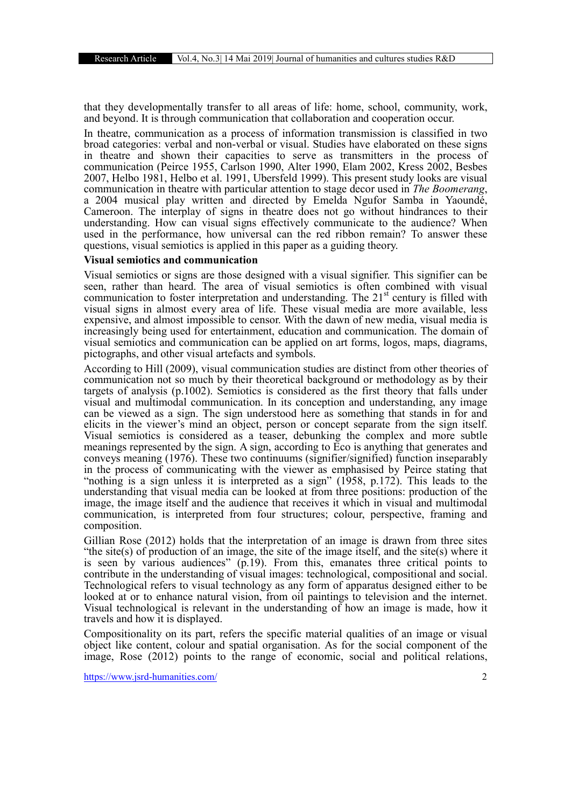that they developmentally transfer to all areas of life: home, school, community, work, and beyond. It is through communication that collaboration and cooperation occur.

In theatre, communication as a process of information transmission is classified in two broad categories: verbal and non-verbal or visual. Studies have elaborated on these signs in theatre and shown their capacities to serve as transmitters in the process of communication (Peirce 1955, Carlson 1990, Alter 1990, Elam 2002, Kress 2002, Besbes 2007, Helbo 1981, Helbo et al. 1991, Ubersfeld 1999). This present study looks are visual communication in theatre with particular attention to stage decor used in *The Boomerang*, a 2004 musical play written and directed by Emelda Ngufor Samba in Yaoundé, Cameroon. The interplay of signs in theatre does not go without hindrances to their understanding. How can visual signs effectively communicate to the audience? When used in the performance, how universal can the red ribbon remain? To answer these questions, visual semiotics is applied in this paper as a guiding theory.

### Visual semiotics and communication

Visual semiotics or signs are those designed with a visual signifier. This signifier can be seen, rather than heard. The area of visual semiotics is often combined with visual communication to foster interpretation and understanding. The 21<sup>st</sup> century is filled with visual signs in almost every area of life. These visual media are more available, less expensive, and almost impossible to censor. With the dawn of new media, visual media is increasingly being used for entertainment, education and communication. The domain of visual semiotics and communication can be applied on art forms, logos, maps, diagrams, pictographs, and other visual artefacts and symbols.

According to Hill (2009), visual communication studies are distinct from other theories of communication not so much by their theoretical background or methodology as by their targets of analysis (p.1002). Semiotics is considered as the first theory that falls under visual and multimodal communication. In its conception and understanding, any image can be viewed as a sign. The sign understood here as something that stands in for and elicits in the viewer's mind an object, person or concept separate from the sign itself. Visual semiotics is considered as a teaser, debunking the complex and more subtle meanings represented by the sign. A sign, according to Eco is anything that generates and conveys meaning (1976). These two continuums (signifier/signified) function inseparably in the process of communicating with the viewer as emphasised by Peirce stating that "nothing is a sign unless it is interpreted as a sign" (1958, p.172). This leads to the understanding that visual media can be looked at from three positions: production of the image, the image itself and the audience that receives it which in visual and multimodal communication, is interpreted from four structures; colour, perspective, framing and composition.

Gillian Rose (2012) holds that the interpretation of an image is drawn from three sites "the site(s) of production of an image, the site of the image itself, and the site(s) where it is seen by various audiences" (p.19). From this, emanates three critical points to contribute in the understanding of visual images: technological, compositional and social. Technological refers to visual technology as any form of apparatus designed either to be looked at or to enhance natural vision, from oil paintings to television and the internet. Visual technological is relevant in the understanding of how an image is made, how it travels and how it is displayed.

Compositionality on its part, refers the specific material qualities of an image or visual object like content, colour and spatial organisation. As for the social component of the image, Rose (2012) points to the range of economic, social and political relations,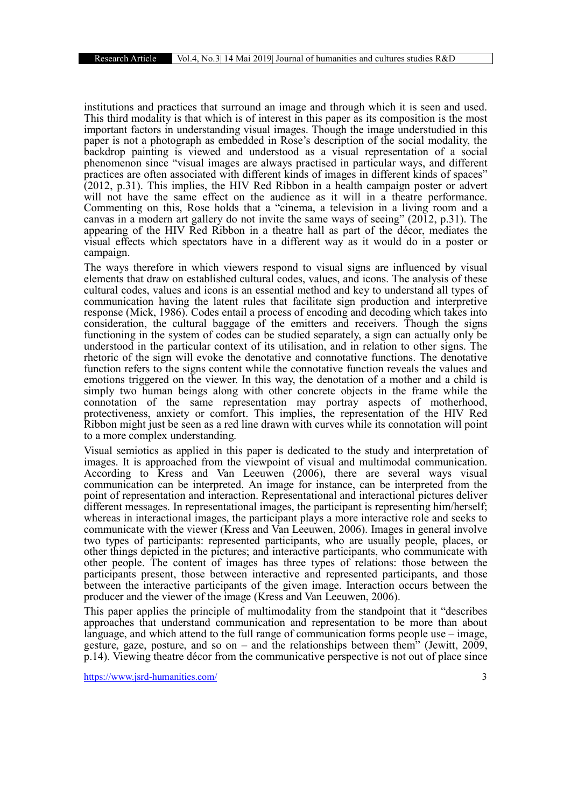institutions and practices that surround an image and through which it is seen and used. This third modality is that which is of interest in this paper as its composition is the most important factors in understanding visual images. Though the image understudied in this paper is not a photograph as embedded in Rose's description of the social modality, the backdrop painting is viewed and understood as a visual representation of a social phenomenon since "visual images are always practised in particular ways, and different practices are often associated with different kinds of images in different kinds of spaces" (2012, p.31). This implies, the HIV Red Ribbon in a health campaign poster or advert will not have the same effect on the audience as it will in a theatre performance. Commenting on this, Rose holds that a "cinema, a television in a living room and a canvas in a modern art gallery do not invite the same ways of seeing" (2012, p.31). The appearing of the HIV Red Ribbon in a theatre hall as part of the décor, mediates the visual effects which spectators have in a different way as it would do in a poster or campaign.

The ways therefore in which viewers respond to visual signs are influenced by visual elements that draw on established cultural codes, values, and icons. The analysis of these cultural codes, values and icons is an essential method and key to understand all types of communication having the latent rules that facilitate sign production and interpretive response (Mick, 1986). Codes entail a process of encoding and decoding which takes into consideration, the cultural baggage of the emitters and receivers. Though the signs functioning in the system of codes can be studied separately, a sign can actually only be understood in the particular context of its utilisation, and in relation to other signs. The rhetoric of the sign will evoke the denotative and connotative functions. The denotative function refers to the signs content while the connotative function reveals the values and emotions triggered on the viewer. In this way, the denotation of a mother and a child is simply two human beings along with other concrete objects in the frame while the connotation of the same representation may portray aspects of motherhood, protectiveness, anxiety or comfort. This implies, the representation of the HIV Red Ribbon might just be seen as a red line drawn with curves while its connotation will point to a more complex understanding.

Visual semiotics as applied in this paper is dedicated to the study and interpretation of images. It is approached from the viewpoint of visual and multimodal communication. According to Kress and Van Leeuwen (2006), there are several ways visual communication can be interpreted. An image for instance, can be interpreted from the point of representation and interaction. Representational and interactional pictures deliver different messages. In representational images, the participant is representing him/herself; whereas in interactional images, the participant plays a more interactive role and seeks to communicate with the viewer (Kress and Van Leeuwen, 2006). Images in general involve two types of participants: represented participants, who are usually people, places, or other things depicted in the pictures; and interactive participants, who communicate with other people. The content of images has three types of relations: those between the participants present, those between interactive and represented participants, and those between the interactive participants of the given image. Interaction occurs between the producer and the viewer of the image (Kress and Van Leeuwen, 2006).

This paper applies the principle of multimodality from the standpoint that it "describes approaches that understand communication and representation to be more than about language, and which attend to the full range of communication forms people use – image, gesture, gaze, posture, and so on – and the relationships between them" (Jewitt,  $2009$ , p.14). Viewing theatre décor from the communicative perspective is not out of place since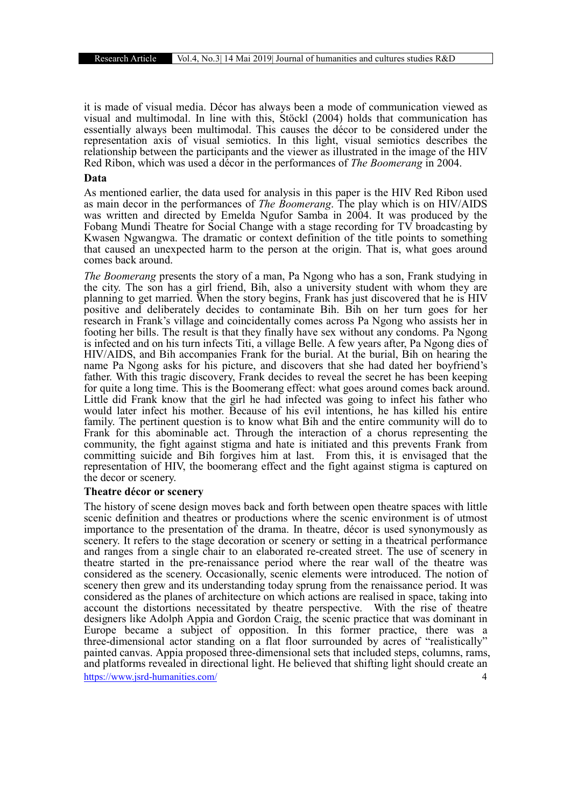it is made of visual media. Décor has always been a mode of communication viewed as visual and multimodal. In line with this, Stöckl (2004) holds that communication has essentially always been multimodal. This causes the décor to be considered under the representation axis of visual semiotics. In this light, visual semiotics describes the relationship between the participants and the viewer as illustrated in the image of the HIV Red Ribon, which was used a décor in the performances of *The Boomerang* in 2004.

#### Data

As mentioned earlier, the data used for analysis in this paper is the HIV Red Ribon used as main decor in the performances of *The Boomerang*. The play which is on HIV/AIDS was written and directed by Emelda Ngufor Samba in 2004. It was produced by the Fobang Mundi Theatre for Social Change with a stage recording for TV broadcasting by Kwasen Ngwangwa. The dramatic or context definition of the title points to something that caused an unexpected harm to the person at the origin. That is, what goes around comes back around.

*The Boomerang* presents the story of a man, Pa Ngong who has a son, Frank studying in the city. The son has a girl friend, Bih, also a university student with whom they are planning to get married. When the story begins, Frank has just discovered that he is HIV positive and deliberately decides to contaminate Bih. Bih on her turn goes for her research in Frank's village and coincidentally comes across Pa Ngong who assists her in footing her bills. The result is that they finally have sex without any condoms. Pa Ngong is infected and on his turn infects Titi, a village Belle. A few years after, Pa Ngong dies of HIV/AIDS, and Bih accompanies Frank for the burial. At the burial, Bih on hearing the name Pa Ngong asks for his picture, and discovers that she had dated her boyfriend's father. With this tragic discovery, Frank decides to reveal the secret he has been keeping for quite a long time. This is the Boomerang effect: what goes around comes back around. Little did Frank know that the girl he had infected was going to infect his father who would later infect his mother. Because of his evil intentions, he has killed his entire family. The pertinent question is to know what Bih and the entire community will do to Frank for this abominable act. Through the interaction of a chorus representing the community, the fight against stigma and hate is initiated and this prevents Frank from committing suicide and Bih forgives him at last. From this, it is envisaged that the representation of HIV, the boomerang effect and the fight against stigma is captured on the decor or scenery.

#### Theatre décor or scenery

https://www.jsrd-humanities.com/ 4 The history of scene design moves back and forth between open theatre spaces with little scenic definition and theatres or productions where the scenic environment is of utmost importance to the presentation of the drama. In theatre, décor is used synonymously as scenery. It refers to the stage decoration or scenery or setting in a theatrical performance and ranges from a single chair to an elaborated re-created street. The use of scenery in theatre started in the pre-renaissance period where the rear wall of the theatre was considered as the scenery. Occasionally, scenic elements were introduced. The notion of scenery then grew and its understanding today sprung from the renaissance period. It was considered as the planes of architecture on which actions are realised in space, taking into account the distortions necessitated by theatre perspective. With the rise of theatre designers like Adolph Appia and Gordon Craig, the scenic practice that was dominant in Europe became a subject of opposition. In this former practice, there was a three-dimensional actor standing on a flat floor surrounded by acres of "realistically" painted canvas. Appia proposed three-dimensional sets that included steps, columns, rams, and platforms revealed in directional light. He believed that shifting light should create an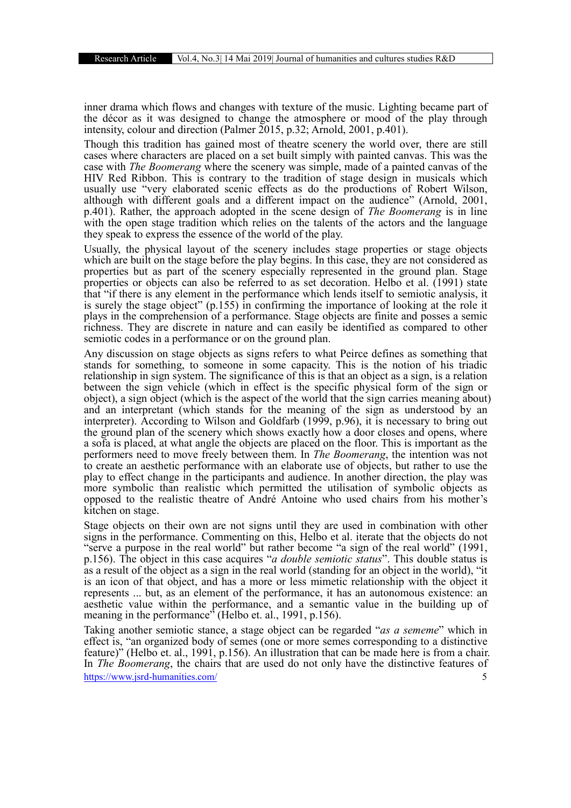inner drama which flows and changes with texture of the music. Lighting became part of the décor as it was designed to change the atmosphere or mood of the play through intensity, colour and direction (Palmer 2015, p.32; Arnold, 2001, p.401).

Though this tradition has gained most of theatre scenery the world over, there are still cases where characters are placed on a set built simply with painted canvas. This was the case with *The Boomerang* where the scenery was simple, made of a painted canvas of the HIV Red Ribbon. This is contrary to the tradition of stage design in musicals which usually use "very elaborated scenic effects as do the productions of Robert Wilson, although with different goals and a different impact on the audience" (Arnold, 2001, p.401). Rather, the approach adopted in the scene design of *The Boomerang* is in line with the open stage tradition which relies on the talents of the actors and the language they speak to express the essence of the world of the play.

Usually, the physical layout of the scenery includes stage properties or stage objects which are built on the stage before the play begins. In this case, they are not considered as properties but as part of the scenery especially represented in the ground plan. Stage properties or objects can also be referred to as set decoration. Helbo et al. (1991) state that "if there is any element in the performance which lends itself to semiotic analysis, it is surely the stage object" (p.155) in confirming the importance of looking at the role it plays in the comprehension of a performance. Stage objects are finite and posses a semic richness. They are discrete in nature and can easily be identified as compared to other semiotic codes in a performance or on the ground plan.

Any discussion on stage objects as signs refers to what Peirce defines as something that stands for something, to someone in some capacity. This is the notion of his triadic relationship in sign system. The significance of this is that an object as a sign, is a relation between the sign vehicle (which in effect is the specific physical form of the sign or object), a sign object (which is the aspect of the world that the sign carries meaning about) and an interpretant (which stands for the meaning of the sign as understood by an interpreter). According to Wilson and Goldfarb (1999, p.96), it is necessary to bring out the ground plan of the scenery which shows exactly how a door closes and opens, where a sofa is placed, at what angle the objects are placed on the floor. This is important as the performers need to move freely between them. In *The Boomerang*, the intention was not to create an aesthetic performance with an elaborate use of objects, but rather to use the play to effect change in the participants and audience. In another direction, the play was more symbolic than realistic which permitted the utilisation of symbolic objects as opposed to the realistic theatre of André Antoine who used chairs from his mother's kitchen on stage.

Stage objects on their own are not signs until they are used in combination with other signs in the performance. Commenting on this, Helbo et al. iterate that the objects do not "serve a purpose in the real world" but rather become "a sign of the real world" (1991, p.156). The object in this case acquires "*a double semiotic status*". This double status is as a result of the object as a sign in the real world (standing for an object in the world), "it is an icon of that object, and has a more or less mimetic relationship with the object it represents ... but, as an element of the performance, it has an autonomous existence: an aesthetic value within the performance, and a semantic value in the building up of meaning in the performance<sup>3</sup> (Helbo et. al., 1991, p.156).

https://www.jsrd-humanities.com/ 5 Taking another semiotic stance, a stage object can be regarded "*as a sememe*" which in effect is, "an organized body of semes (one or more semes corresponding to a distinctive feature)" (Helbo et. al., 1991, p.156). An illustration that can be made here is from a chair. In *The Boomerang*, the chairs that are used do not only have the distinctive features of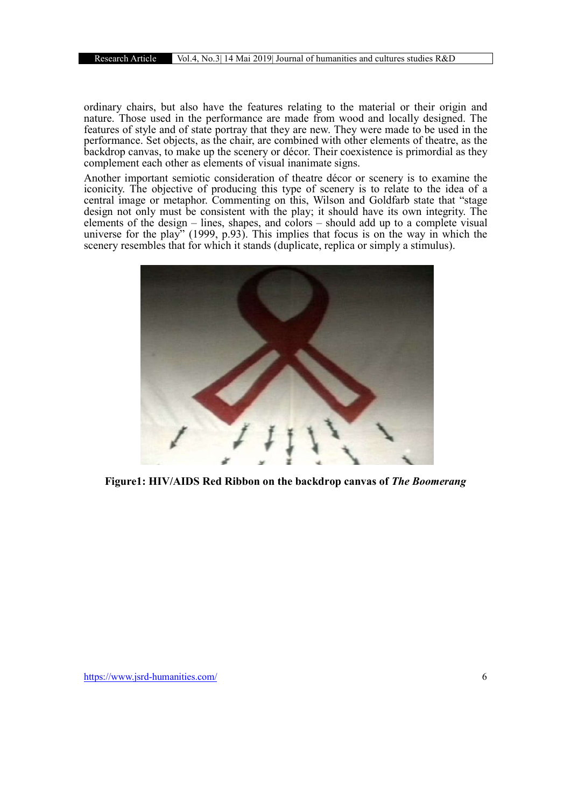ordinary chairs, but also have the features relating to the material or their origin and nature. Those used in the performance are made from wood and locally designed. The features of style and of state portray that they are new. They were made to be used in the performance. Set objects, as the chair, are combined with other elements of theatre, as the backdrop canvas, to make up the scenery or décor. Their coexistence is primordial as they complement each other as elements of visual inanimate signs.

Another important semiotic consideration of theatre décor or scenery is to examine the iconicity. The objective of producing this type of scenery is to relate to the idea of a central image or metaphor. Commenting on this, Wilson and Goldfarb state that "stage design not only must be consistent with the play; it should have its own integrity. The elements of the design – lines, shapes, and colors – should add up to a complete visual universe for the play" (1999, p.93). This implies that focus is on the way in which the scenery resembles that for which it stands (duplicate, replica or simply a stimulus).



Figure1: HIV/AIDS Red Ribbon on the backdrop canvas of *The Boomerang*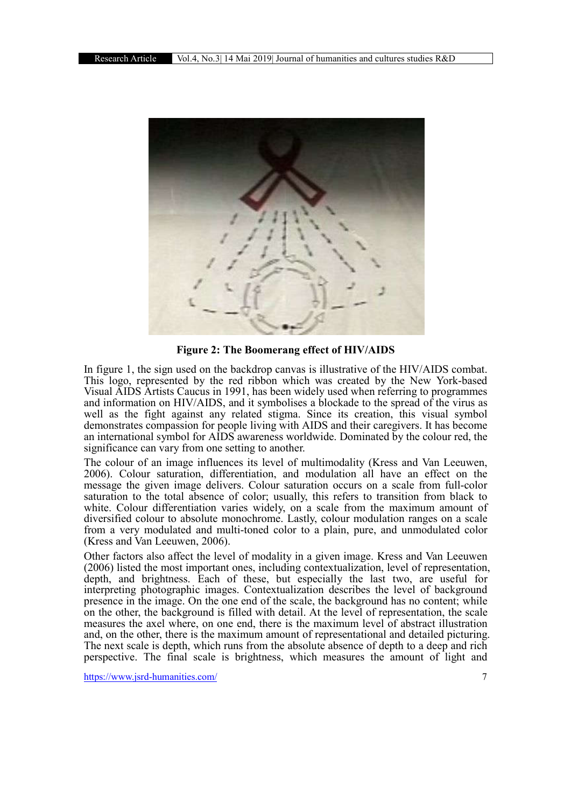

Figure 2: The Boomerang effect of HIV/AIDS

In figure 1, the sign used on the backdrop canvas is illustrative of the HIV/AIDS combat. This logo, represented by the red ribbon which was created by the New York-based Visual AIDS Artists Caucus in 1991, has been widely used when referring to programmes and information on HIV/AIDS, and it symbolises a blockade to the spread of the virus as well as the fight against any related stigma. Since its creation, this visual symbol demonstrates compassion for people living with AIDS and their caregivers. It has become an international symbol for AIDS awareness worldwide. Dominated by the colour red, the significance can vary from one setting to another.

The colour of an image influences its level of multimodality (Kress and Van Leeuwen, 2006). Colour saturation, differentiation, and modulation all have an effect on the message the given image delivers. Colour saturation occurs on a scale from full-color saturation to the total absence of color; usually, this refers to transition from black to white. Colour differentiation varies widely, on a scale from the maximum amount of diversified colour to absolute monochrome. Lastly, colour modulation ranges on a scale from a very modulated and multi-toned color to a plain, pure, and unmodulated color (Kress and Van Leeuwen, 2006).

Other factors also affect the level of modality in a given image. Kress and Van Leeuwen (2006) listed the most important ones, including contextualization, level of representation, depth, and brightness. Each of these, but especially the last two, are useful for interpreting photographic images. Contextualization describes the level of background presence in the image. On the one end of the scale, the background has no content; while on the other, the background is filled with detail. At the level of representation, the scale measures the axel where, on one end, there is the maximum level of abstract illustration and, on the other, there is the maximum amount of representational and detailed picturing. The next scale is depth, which runs from the absolute absence of depth to a deep and rich perspective. The final scale is brightness, which measures the amount of light and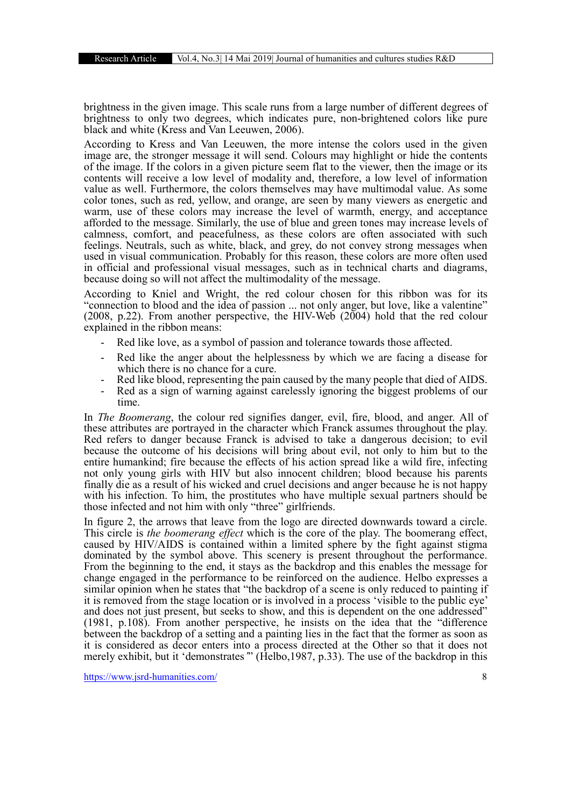brightness in the given image. This scale runs from a large number of different degrees of brightness to only two degrees, which indicates pure, non-brightened colors like pure black and white (Kress and Van Leeuwen, 2006).

According to Kress and Van Leeuwen, the more intense the colors used in the given image are, the stronger message it will send. Colours may highlight or hide the contents of the image. If the colors in a given picture seem flat to the viewer, then the image or its contents will receive a low level of modality and, therefore, a low level of information value as well. Furthermore, the colors themselves may have multimodal value. As some color tones, such as red, yellow, and orange, are seen by many viewers as energetic and warm, use of these colors may increase the level of warmth, energy, and acceptance afforded to the message. Similarly, the use of blue and green tones may increase levels of calmness, comfort, and peacefulness, as these colors are often associated with such feelings. Neutrals, such as white, black, and grey, do not convey strong messages when used in visual communication. Probably for this reason, these colors are more often used in official and professional visual messages, such as in technical charts and diagrams, because doing so will not affect the multimodality of the message.

According to Kniel and Wright, the red colour chosen for this ribbon was for its "connection to blood and the idea of passion ... not only anger, but love, like a valentine" (2008, p.22). From another perspective, the HIV-Web (2004) hold that the red colour explained in the ribbon means:

- Red like love, as a symbol of passion and tolerance towards those affected.
- Red like the anger about the helplessness by which we are facing a disease for which there is no chance for a cure.
- Red like blood, representing the pain caused by the many people that died of AIDS. Red as a sign of warning against carelessly ignoring the biggest problems of our
- time.

In *The Boomerang*, the colour red signifies danger, evil, fire, blood, and anger. All of these attributes are portrayed in the character which Franck assumes throughout the play. Red refers to danger because Franck is advised to take a dangerous decision; to evil because the outcome of his decisions will bring about evil, not only to him but to the entire humankind; fire because the effects of his action spread like a wild fire, infecting not only young girls with HIV but also innocent children; blood because his parents finally die as a result of his wicked and cruel decisions and anger because he is not happy with his infection. To him, the prostitutes who have multiple sexual partners should be those infected and not him with only "three" girlfriends.

In figure 2, the arrows that leave from the logo are directed downwards toward a circle. This circle is *the boomerang effect* which is the core of the play. The boomerang effect, caused by HIV/AIDS is contained within a limited sphere by the fight against stigma dominated by the symbol above. This scenery is present throughout the performance. From the beginning to the end, it stays as the backdrop and this enables the message for change engaged in the performance to be reinforced on the audience. Helbo expresses a similar opinion when he states that "the backdrop of a scene is only reduced to painting if it is removed from the stage location or is involved in a process 'visible to the public eye' and does not just present, but seeks to show, and this is dependent on the one addressed" (1981, p.108). From another perspective, he insists on the idea that the "difference between the backdrop of a setting and a painting lies in the fact that the former as soon as it is considered as decor enters into a process directed at the Other so that it does not merely exhibit, but it 'demonstrates*'*" (Helbo,1987, p.33). The use of the backdrop in this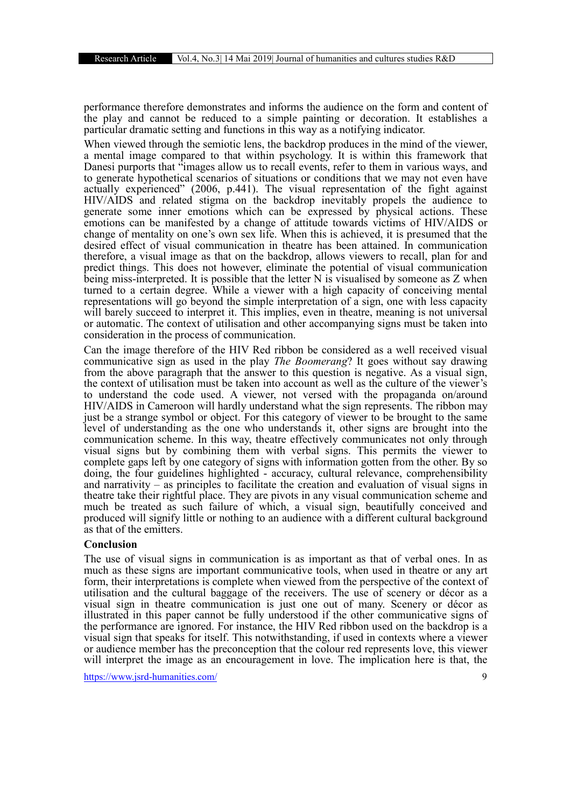performance therefore demonstrates and informs the audience on the form and content of the play and cannot be reduced to a simple painting or decoration. It establishes a particular dramatic setting and functions in this way as a notifying indicator.

When viewed through the semiotic lens, the backdrop produces in the mind of the viewer, a mental image compared to that within psychology. It is within this framework that Danesi purports that "images allow us to recall events, refer to them in various ways, and to generate hypothetical scenarios of situations or conditions that we may not even have actually experienced" (2006, p.441). The visual representation of the fight against HIV/AIDS and related stigma on the backdrop inevitably propels the audience to generate some inner emotions which can be expressed by physical actions. These emotions can be manifested by a change of attitude towards victims of HIV/AIDS or change of mentality on one's own sex life. When this is achieved, it is presumed that the desired effect of visual communication in theatre has been attained. In communication therefore, a visual image as that on the backdrop, allows viewers to recall, plan for and predict things. This does not however, eliminate the potential of visual communication being miss-interpreted. It is possible that the letter N is visualised by someone as Z when turned to a certain degree. While a viewer with a high capacity of conceiving mental representations will go beyond the simple interpretation of a sign, one with less capacity will barely succeed to interpret it. This implies, even in theatre, meaning is not universal or automatic. The context of utilisation and other accompanying signs must be taken into consideration in the process of communication.

Can the image therefore of the HIV Red ribbon be considered as a well received visual communicative sign as used in the play *The Boomerang*? It goes without say drawing from the above paragraph that the answer to this question is negative. As a visual sign, the context of utilisation must be taken into account as well as the culture of the viewer's to understand the code used. A viewer, not versed with the propaganda on/around HIV/AIDS in Cameroon will hardly understand what the sign represents. The ribbon may just be a strange symbol or object. For this category of viewer to be brought to the same level of understanding as the one who understands it, other signs are brought into the communication scheme. In this way, theatre effectively communicates not only through visual signs but by combining them with verbal signs. This permits the viewer to complete gaps left by one category of signs with information gotten from the other. By so doing, the four guidelines highlighted - accuracy, cultural relevance, comprehensibility and narrativity – as principles to facilitate the creation and evaluation of visual signs in theatre take their rightful place. They are pivots in any visual communication scheme and much be treated as such failure of which, a visual sign, beautifully conceived and produced will signify little or nothing to an audience with a different cultural background as that of the emitters.

# Conclusion

The use of visual signs in communication is as important as that of verbal ones. In as much as these signs are important communicative tools, when used in theatre or any art form, their interpretations is complete when viewed from the perspective of the context of utilisation and the cultural baggage of the receivers. The use of scenery or décor as a visual sign in theatre communication is just one out of many. Scenery or décor as illustrated in this paper cannot be fully understood if the other communicative signs of the performance are ignored. For instance, the HIV Red ribbon used on the backdrop is a visual sign that speaks for itself. This notwithstanding, if used in contexts where a viewer or audience member has the preconception that the colour red represents love, this viewer will interpret the image as an encouragement in love. The implication here is that, the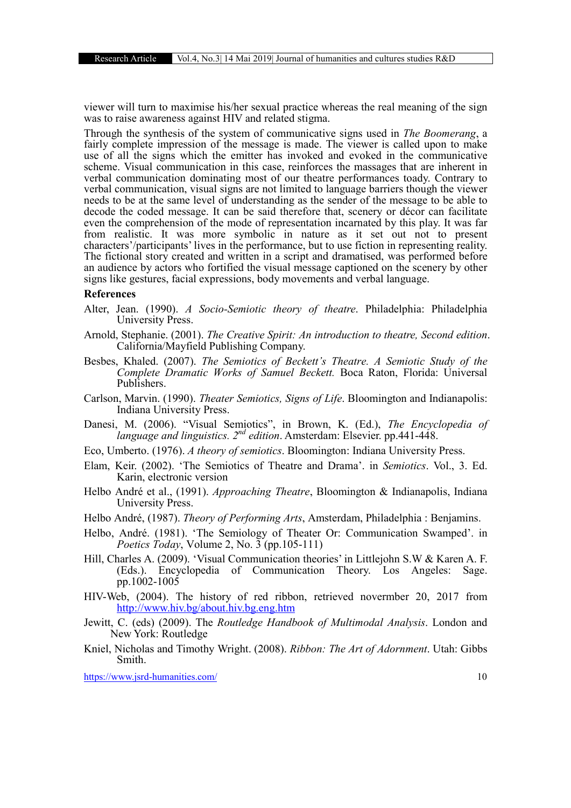viewer will turn to maximise his/her sexual practice whereas the real meaning of the sign was to raise awareness against HIV and related stigma.

Through the synthesis of the system of communicative signs used in *The Boomerang*, a fairly complete impression of the message is made. The viewer is called upon to make use of all the signs which the emitter has invoked and evoked in the communicative scheme. Visual communication in this case, reinforces the massages that are inherent in verbal communication dominating most of our theatre performances toady. Contrary to verbal communication, visual signs are not limited to language barriers though the viewer needs to be at the same level of understanding as the sender of the message to be able to decode the coded message. It can be said therefore that, scenery or décor can facilitate even the comprehension of the mode of representation incarnated by this play. It was far from realistic. It was more symbolic in nature as it set out not to present characters'/participants' lives in the performance, but to use fiction in representing reality. The fictional story created and written in a script and dramatised, was performed before an audience by actors who fortified the visual message captioned on the scenery by other signs like gestures, facial expressions, body movements and verbal language.

#### References

- Alter, Jean. (1990). *A Socio-Semiotic theory of theatre*. Philadelphia: Philadelphia University Press.
- Arnold, Stephanie. (2001). *The Creative Spirit: An introduction to theatre, Second edition*. California/Mayfield Publishing Company.
- Besbes, Khaled. (2007). *The Semiotics of Beckett's Theatre. A Semiotic Study of the Complete Dramatic Works of Samuel Beckett.* Boca Raton, Florida: Universal Publishers.
- Carlson, Marvin. (1990). *Theater Semiotics, Signs of Life*. Bloomington and Indianapolis: Indiana University Press.
- Danesi, M. (2006). "Visual Semiotics", in Brown, K. (Ed.), *The Encyclopedia of language and linguistics. 2nd edition*. Amsterdam: Elsevier. pp.441-448.
- Eco, Umberto. (1976). *A theory of semiotics*. Bloomington: Indiana University Press.
- Elam, Keir. (2002). 'The Semiotics of Theatre and Drama'. in *Semiotics*. Vol., 3. Ed. Karin, electronic version
- Helbo André et al., (1991). *Approaching Theatre*, Bloomington & Indianapolis, Indiana University Press.
- Helbo André, (1987). *Theory of Performing Arts*, Amsterdam, Philadelphia : Benjamins.
- Helbo, André. (1981). 'The Semiology of Theater Or: Communication Swamped'. in *Poetics Today*, Volume 2, No. 3 (pp.105-111)
- Hill, Charles A. (2009). 'Visual Communication theories' in Littlejohn S.W & Karen A. F. (Eds.). Encyclopedia of Communication Theory. Los Angeles: Sage. pp.1002-1005
- HIV-Web, (2004). The history of red ribbon, retrieved novermber 20, 2017 from http://www.hiv.bg/about.hiv.bg.eng.htm
- Jewitt, C. (eds) (2009). The *Routledge Handbook of Multimodal Analysis*. London and New York: Routledge
- Kniel, Nicholas and Timothy Wright. (2008). *Ribbon: The Art of Adornment*. Utah: Gibbs Smith.

https://www.jsrd-humanities.com/ 10